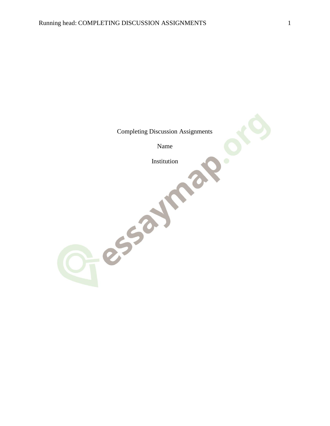Completing Discussion Assignments Name Fessaline?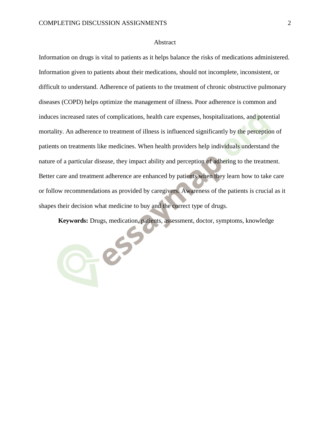O-es

### Abstract

Information on drugs is vital to patients as it helps balance the risks of medications administered. Information given to patients about their medications, should not incomplete, inconsistent, or difficult to understand. Adherence of patients to the treatment of chronic obstructive pulmonary diseases (COPD) helps optimize the management of illness. Poor adherence is common and induces increased rates of complications, health care expenses, hospitalizations, and potential mortality. An adherence to treatment of illness is influenced significantly by the perception of patients on treatments like medicines. When health providers help individuals understand the nature of a particular disease, they impact ability and perception of adhering to the treatment. Better care and treatment adherence are enhanced by patients when they learn how to take care or follow recommendations as provided by caregivers. Awareness of the patients is crucial as it shapes their decision what medicine to buy and the correct type of drugs.

**Keywords:** Drugs, medication, patients, assessment, doctor, symptoms, knowledge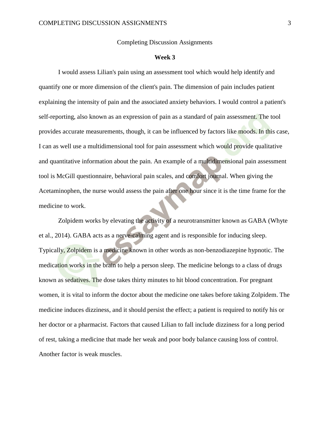### Completing Discussion Assignments

### **Week 3**

I would assess Lilian's pain using an assessment tool which would help identify and quantify one or more dimension of the client's pain. The dimension of pain includes patient explaining the intensity of pain and the associated anxiety behaviors. I would control a patient's self-reporting, also known as an expression of pain as a standard of pain assessment. The tool provides accurate measurements, though, it can be influenced by factors like moods. In this case, I can as well use a multidimensional tool for pain assessment which would provide qualitative and quantitative information about the pain. An example of a multidimensional pain assessment tool is McGill questionnaire, behavioral pain scales, and comfort journal. When giving the Acetaminophen, the nurse would assess the pain after one hour since it is the time frame for the medicine to work.

Zolpidem works by elevating the activity of a neurotransmitter known as GABA (Whyte et al., 2014). GABA acts as a nerve-calming agent and is responsible for inducing sleep. Typically, Zolpidem is a medicine known in other words as non-benzodiazepine hypnotic. The medication works in the brain to help a person sleep. The medicine belongs to a class of drugs known as sedatives. The dose takes thirty minutes to hit blood concentration. For pregnant women, it is vital to inform the doctor about the medicine one takes before taking Zolpidem. The medicine induces dizziness, and it should persist the effect; a patient is required to notify his or her doctor or a pharmacist. Factors that caused Lilian to fall include dizziness for a long period of rest, taking a medicine that made her weak and poor body balance causing loss of control. Another factor is weak muscles.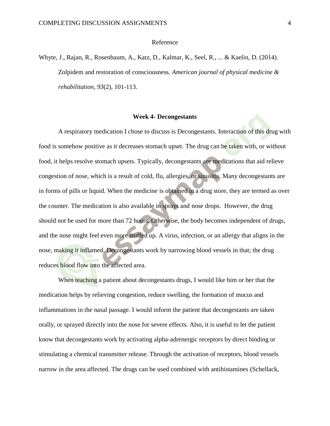### Reference

Whyte, J., Rajan, R., Rosenbaum, A., Katz, D., Kalmar, K., Seel, R., ... & Kaelin, D. (2014). Zolpidem and restoration of consciousness. *American journal of physical medicine & rehabilitation*, *93*(2), 101-113.

## **Week 4- Decongestants**

A respiratory medication I chose to discuss is Decongestants. Interaction of this drug with food is somehow positive as it decreases stomach upset. The drug can be taken with, or without food, it helps resolve stomach upsets. Typically, decongestants are medications that aid relieve congestion of nose, which is a result of cold, flu, allergies, or sinusitis. Many decongestants are in forms of pills or liquid. When the medicine is obtained in a drug store, they are termed as over the counter. The medication is also available in sprays and nose drops. However, the drug should not be used for more than 72 hours. Otherwise, the body becomes independent of drugs, and the nose might feel even more stuffed up. A virus, infection, or an allergy that aligns in the nose, making it inflamed. Decongestants work by narrowing blood vessels in that; the drug reduces blood flow into the affected area.

When teaching a patient about decongestants drugs, I would like him or her that the medication helps by relieving congestion, reduce swelling, the formation of mucus and inflammations in the nasal passage. I would inform the patient that decongestants are taken orally, or sprayed directly into the nose for severe effects. Also, it is useful to let the patient know that decongestants work by activating alpha-adrenergic receptors by direct binding or stimulating a chemical transmitter release. Through the activation of receptors, blood vessels narrow in the area affected. The drugs can be used combined with antihistamines (Schellack,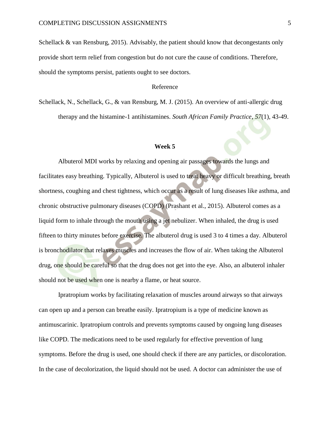Schellack & van Rensburg, 2015). Advisably, the patient should know that decongestants only provide short term relief from congestion but do not cure the cause of conditions. Therefore, should the symptoms persist, patients ought to see doctors.

## Reference

Schellack, N., Schellack, G., & van Rensburg, M. J. (2015). An overview of anti-allergic drug therapy and the histamine-1 antihistamines. *South African Family Practice*, *57*(1), 43-49.

### **Week 5**

Albuterol MDI works by relaxing and opening air passages towards the lungs and facilitates easy breathing. Typically, Albuterol is used to treat heavy or difficult breathing, breath shortness, coughing and chest tightness, which occur as a result of lung diseases like asthma, and chronic obstructive pulmonary diseases (COPD) (Prashant et al., 2015). Albuterol comes as a liquid form to inhale through the mouth using a jet nebulizer. When inhaled, the drug is used fifteen to thirty minutes before exercise. The albuterol drug is used 3 to 4 times a day. Albuterol is bronchodilator that relaxes muscles and increases the flow of air. When taking the Albuterol drug, one should be careful so that the drug does not get into the eye. Also, an albuterol inhaler should not be used when one is nearby a flame, or heat source.

Ipratropium works by facilitating relaxation of muscles around airways so that airways can open up and a person can breathe easily. Ipratropium is a type of medicine known as antimuscarinic. Ipratropium controls and prevents symptoms caused by ongoing lung diseases like COPD. The medications need to be used regularly for effective prevention of lung symptoms. Before the drug is used, one should check if there are any particles, or discoloration. In the case of decolorization, the liquid should not be used. A doctor can administer the use of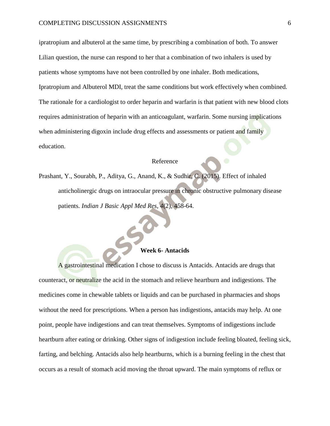ipratropium and albuterol at the same time, by prescribing a combination of both. To answer Lilian question, the nurse can respond to her that a combination of two inhalers is used by patients whose symptoms have not been controlled by one inhaler. Both medications, Ipratropium and Albuterol MDI, treat the same conditions but work effectively when combined. The rationale for a cardiologist to order heparin and warfarin is that patient with new blood clots requires administration of heparin with an anticoagulant, warfarin. Some nursing implications when administering digoxin include drug effects and assessments or patient and family education.

## Reference

Prashant, Y., Sourabh, P., Aditya, G., Anand, K., & Sudhir, C. (2015). Effect of inhaled anticholinergic drugs on intraocular pressure in chronic obstructive pulmonary disease patients. *Indian J Basic Appl Med Res*, *4*(2), 458-64.

## **Week 6- Antacids**

A gastrointestinal medication I chose to discuss is Antacids. Antacids are drugs that counteract, or neutralize the acid in the stomach and relieve heartburn and indigestions. The medicines come in chewable tablets or liquids and can be purchased in pharmacies and shops without the need for prescriptions. When a person has indigestions, antacids may help. At one point, people have indigestions and can treat themselves. Symptoms of indigestions include heartburn after eating or drinking. Other signs of indigestion include feeling bloated, feeling sick, farting, and belching. Antacids also help heartburns, which is a burning feeling in the chest that occurs as a result of stomach acid moving the throat upward. The main symptoms of reflux or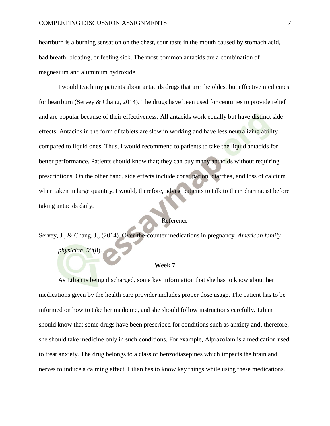heartburn is a burning sensation on the chest, sour taste in the mouth caused by stomach acid, bad breath, bloating, or feeling sick. The most common antacids are a combination of magnesium and aluminum hydroxide.

I would teach my patients about antacids drugs that are the oldest but effective medicines for heartburn (Servey & Chang, 2014). The drugs have been used for centuries to provide relief and are popular because of their effectiveness. All antacids work equally but have distinct side effects. Antacids in the form of tablets are slow in working and have less neutralizing ability compared to liquid ones. Thus, I would recommend to patients to take the liquid antacids for better performance. Patients should know that; they can buy many antacids without requiring prescriptions. On the other hand, side effects include constipation, diarrhea, and loss of calcium when taken in large quantity. I would, therefore, advise patients to talk to their pharmacist before taking antacids daily.

# Reference

Servey, J., & Chang, J., (2014). Over-the-counter medications in pregnancy. *American family physician*, *90*(8).

#### **Week 7**

As Lilian is being discharged, some key information that she has to know about her medications given by the health care provider includes proper dose usage. The patient has to be informed on how to take her medicine, and she should follow instructions carefully. Lilian should know that some drugs have been prescribed for conditions such as anxiety and, therefore, she should take medicine only in such conditions. For example, Alprazolam is a medication used to treat anxiety. The drug belongs to a class of benzodiazepines which impacts the brain and nerves to induce a calming effect. Lilian has to know key things while using these medications.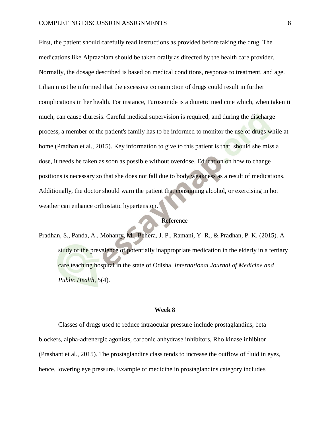First, the patient should carefully read instructions as provided before taking the drug. The medications like Alprazolam should be taken orally as directed by the health care provider. Normally, the dosage described is based on medical conditions, response to treatment, and age. Lilian must be informed that the excessive consumption of drugs could result in further complications in her health. For instance, Furosemide is a diuretic medicine which, when taken ti much, can cause diuresis. Careful medical supervision is required, and during the discharge process, a member of the patient's family has to be informed to monitor the use of drugs while at home (Pradhan et al., 2015). Key information to give to this patient is that, should she miss a dose, it needs be taken as soon as possible without overdose. Education on how to change positions is necessary so that she does not fall due to body weakness as a result of medications. Additionally, the doctor should warn the patient that consuming alcohol, or exercising in hot weather can enhance orthostatic hypertension.

## Reference

Pradhan, S., Panda, A., Mohanty, M., Behera, J. P., Ramani, Y. R., & Pradhan, P. K. (2015). A study of the prevalence of potentially inappropriate medication in the elderly in a tertiary care teaching hospital in the state of Odisha. *International Journal of Medicine and Public Health*, *5*(4).

#### **Week 8**

Classes of drugs used to reduce intraocular pressure include prostaglandins, beta blockers, alpha-adrenergic agonists, carbonic anhydrase inhibitors, Rho kinase inhibitor (Prashant et al., 2015). The prostaglandins class tends to increase the outflow of fluid in eyes, hence, lowering eye pressure. Example of medicine in prostaglandins category includes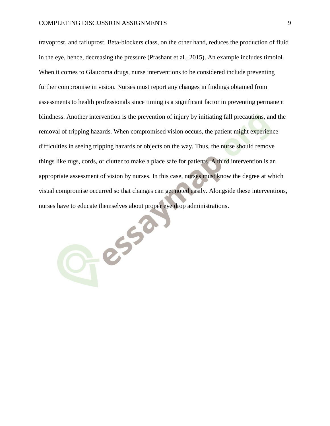travoprost, and tafluprost. Beta-blockers class, on the other hand, reduces the production of fluid in the eye, hence, decreasing the pressure (Prashant et al., 2015). An example includes timolol. When it comes to Glaucoma drugs, nurse interventions to be considered include preventing further compromise in vision. Nurses must report any changes in findings obtained from assessments to health professionals since timing is a significant factor in preventing permanent blindness. Another intervention is the prevention of injury by initiating fall precautions, and the removal of tripping hazards. When compromised vision occurs, the patient might experience difficulties in seeing tripping hazards or objects on the way. Thus, the nurse should remove things like rugs, cords, or clutter to make a place safe for patients. A third intervention is an appropriate assessment of vision by nurses. In this case, nurses must know the degree at which visual compromise occurred so that changes can get noted easily. Alongside these interventions, nurses have to educate themselves about proper eye drop administrations.